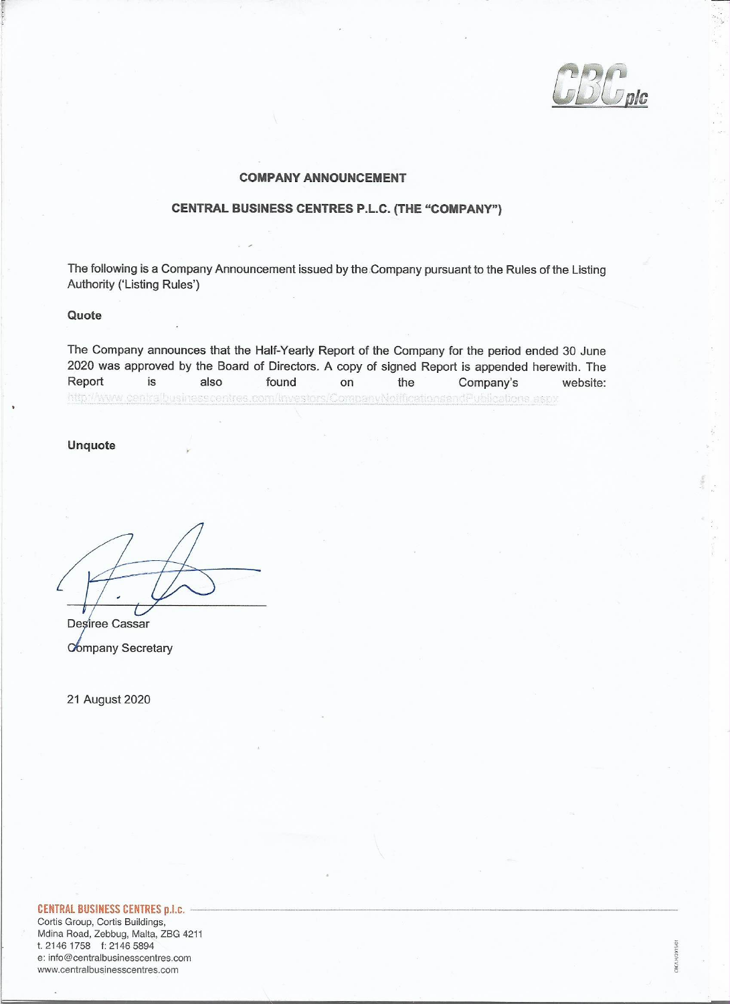BUDDIC

CBC/LH/2015/01

### **COMPANY ANNOUNCEMENT**

### **CENTRAL BUSINESS CENTRES P.L.C. (THE "COMPANY")**

The following is a Company Announcement issued by the Company pursuant to the Rules of the Listing Authority ('Listing Rules')

#### Quote

The Company announces that the Half-Yearly Report of the Company for the period ended 30 June 2020 was approved by the Board of Directors. A copy of signed Report is appended herewith. The Report is also found on the Company's website: http://www.centralbusinesscentres.com/lnvestors/CompanyNotificationsandPublications.aspx

**Unquote** 

Desiree Cassar **Company Secretary** 

21 August 2020

### **CENTRAL BUSINESS CENTRES p.l.c.**

Cortis Group, Cortis Buildings, Mdina Road, Zebbug, Malta, ZBG 4211 t. 2146 1758 f: 2146 5894 e: info@centralbusinesscentres.com www.centralbusinesscentres.com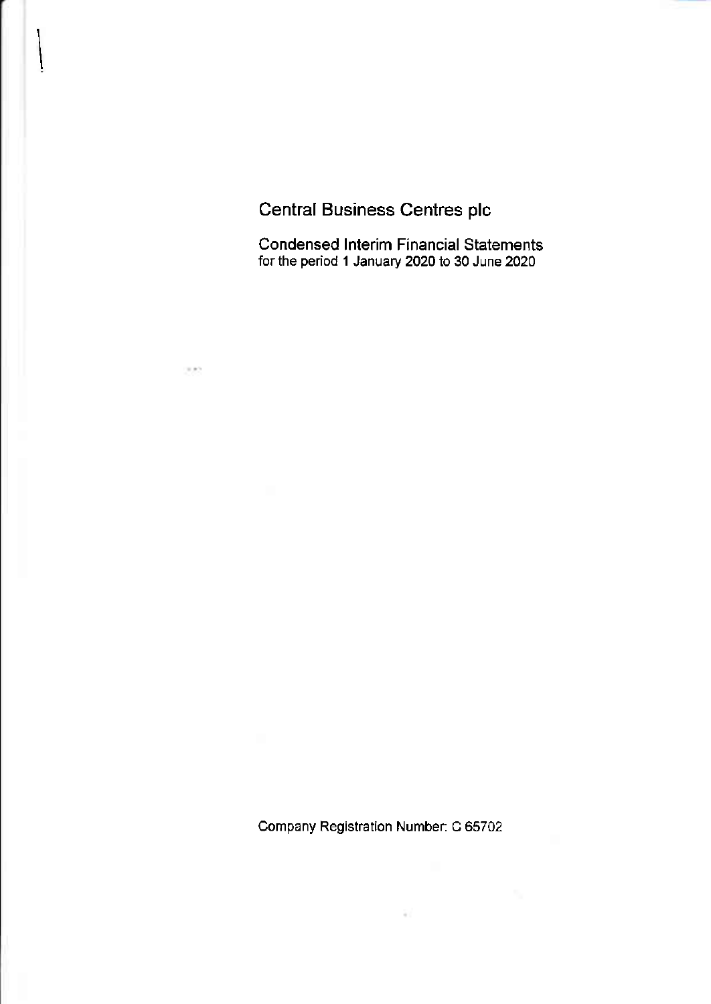# Central Business Centres plc

300

Condensed lnterim Financial Statements for the period 1 January 2020 to 30 June 2020

Company Registration Number; C 65702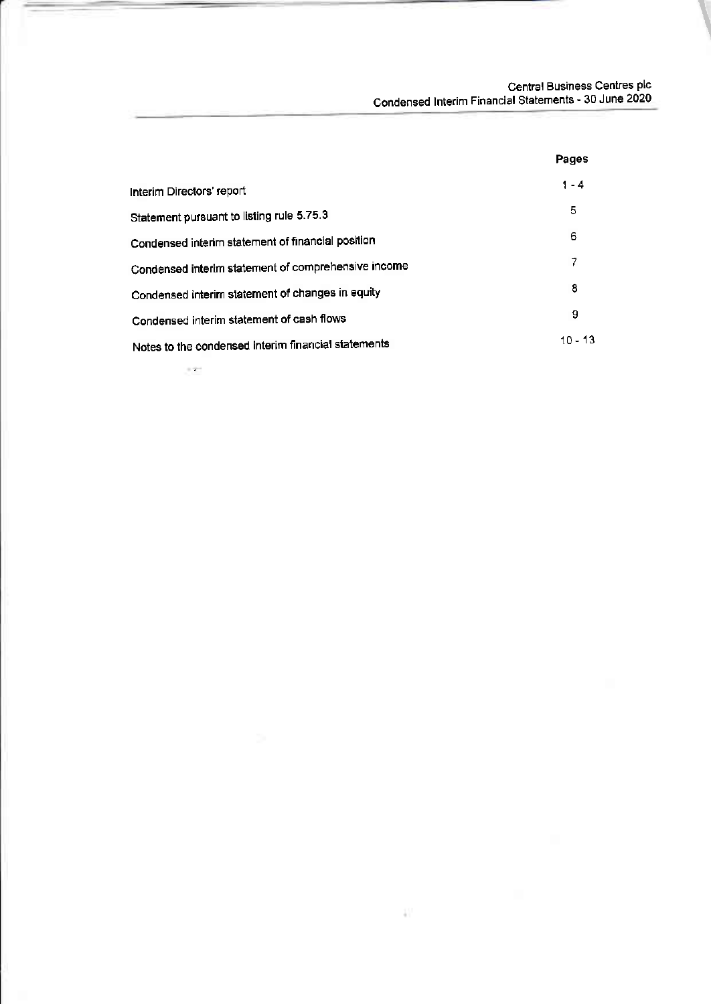Central Business Centres Plc Condensed lnterim Financial Statements \_ 30 June 2020

|                                                     | Pages     |
|-----------------------------------------------------|-----------|
| Interim Directors' report                           | $1 - 4$   |
| Statement pursuant to listing rule 5.75.3           | 5         |
| Condensed interim statement of financial position   | 6         |
| Condensed interim statement of comprehensive income | 7         |
| Condensed interim statement of changes in equity    | 8         |
| Condensed interim statement of cash flows           | 9         |
| Notes to the condensed interim financial statements | $10 - 13$ |

ډ

 $\sim 200$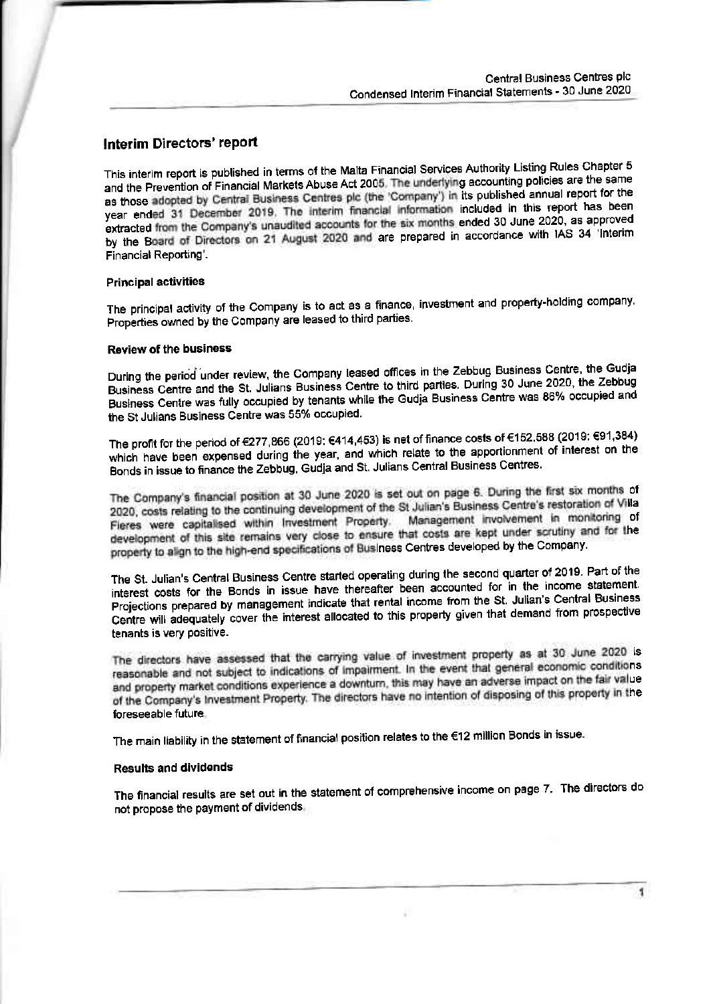### Interim Directors' report

This interim report is published in terms of the Malta Financial Services Authority Listing Rules Chapter 5 and the Prevention of Financial Markets Abuse Act 2005. The underlying accounting policies are the same as those adopted by Central Business Centres plc (the 'Company') in its published annual report for the year ended 31 December 2019. The interim financial information included in this report has been extracted from the Company's unaudited accounts for the six months ended 30 June 2020, as approved by the Board of Directors on 21 August 2020 and are prepared in accordance with IAS 34 'Interim Financial Reporting'.

#### **Principal activities**

The principal activity of the Company is to act as a finance, investment and property-holding company. Properties owned by the Company are leased to third parties.

#### **Review of the business**

During the period under review, the Company leased offices in the Zebbug Business Centre, the Gudja Business Centre and the St. Julians Business Centre to third parties. During 30 June 2020, the Zebbug Business Centre was fully occupied by tenants while the Gudja Business Centre was 86% occupied and the St Julians Business Centre was 55% occupied.

The profit for the period of €277,866 (2019: €414,453) is net of finance costs of €152,588 (2019: €91,384) which have been expensed during the year, and which relate to the apportionment of interest on the Bonds in issue to finance the Zebbug, Gudja and St. Julians Central Business Centres.

The Company's financial position at 30 June 2020 is set out on page 6. During the first six months of 2020, costs relating to the continuing development of the St Julian's Business Centre's restoration of Villa Fieres were capitalised within Investment Property. Management involvement in monitoring of development of this site remains very close to ensure that costs are kept under scrutiny and for the property to align to the high-end specifications of Business Centres developed by the Company.

The St. Julian's Central Business Centre started operating during the second quarter of 2019. Part of the interest costs for the Bonds in issue have thereafter been accounted for in the income statement. Projections prepared by management indicate that rental income from the St. Julian's Central Business Centre will adequately cover the interest allocated to this property given that demand from prospective tenants is very positive.

The directors have assessed that the carrying value of investment property as at 30 June 2020 is reasonable and not subject to indications of impairment. In the event that general economic conditions and property market conditions experience a downturn, this may have an adverse impact on the fair value of the Company's Investment Property. The directors have no intention of disposing of this property in the foreseeable future

The main liability in the statement of financial position relates to the €12 million Bonds in issue.

### **Results and dividends**

The financial results are set out in the statement of comprehensive income on page 7. The directors do not propose the payment of dividends.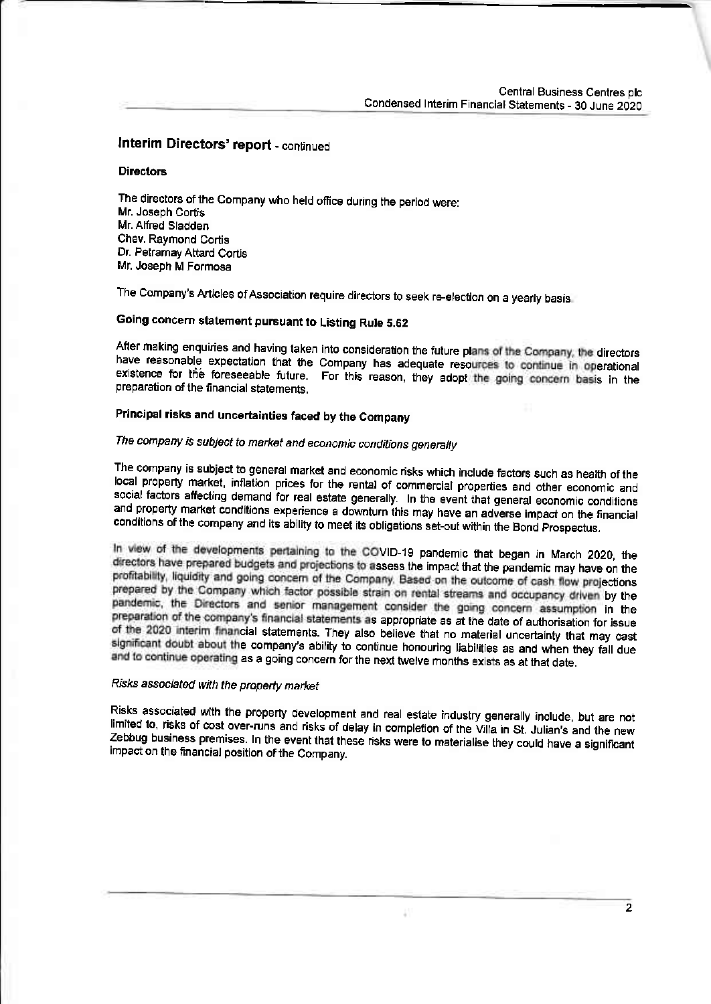### Interim Directors' report - continued

### **Directors**

The directors of the Company who held office during the period were: Mr. Joseph Cortis Mr. Alfred Sladden Chev. Raymond Cortis Dr. Petramay Attard Cortis Mr. Joseph M Formosa

The Company's Articles of Association require directors to seek re-election on a yearly basis.

### Going concern statement pursuant to Listing Rule 5.62

After making enquiries and having taken into consideration the future plans of the Company, the directors have reasonable expectation that the Company has adequate resources to continue in operational existence for the foreseeable future. For this reason, they adopt the going concern basis in the preparation of the financial statements.

### Principal risks and uncertainties faced by the Company

### The company is subject to market and economic conditions generally

The company is subject to general market and economic risks which include factors such as health of the local property market, inflation prices for the rental of commercial properties and other economic and social factors affecting demand for real estate generally. In the event that general economic conditions and property market conditions experience a downturn this may have an adverse impact on the financial conditions of the company and its ability to meet its obligations set-out within the Bond Prospectus.

In view of the developments pertaining to the COVID-19 pandemic that began in March 2020, the directors have prepared budgets and projections to assess the impact that the pandemic may have on the profitability, liquidity and going concern of the Company. Based on the outcome of cash flow projections prepared by the Company which factor possible strain on rental streams and occupancy driven by the pandemic, the Directors and senior management consider the going concern assumption in the preparation of the company's financial statements as appropriate as at the date of authorisation for issue of the 2020 interim financial statements. They also believe that no material uncertainty that may cast significant doubt about the company's ability to continue honouring liabilities as and when they fall due and to continue operating as a going concern for the next twelve months exists as at that date.

### Risks associated with the property market

Risks associated with the property development and real estate industry generally include, but are not limited to, risks of cost over-runs and risks of delay in completion of the Villa in St. Julian's and the new Zebbug business premises. In the event that these risks were to materialise they could have a significant impact on the financial position of the Company.

 $\overline{2}$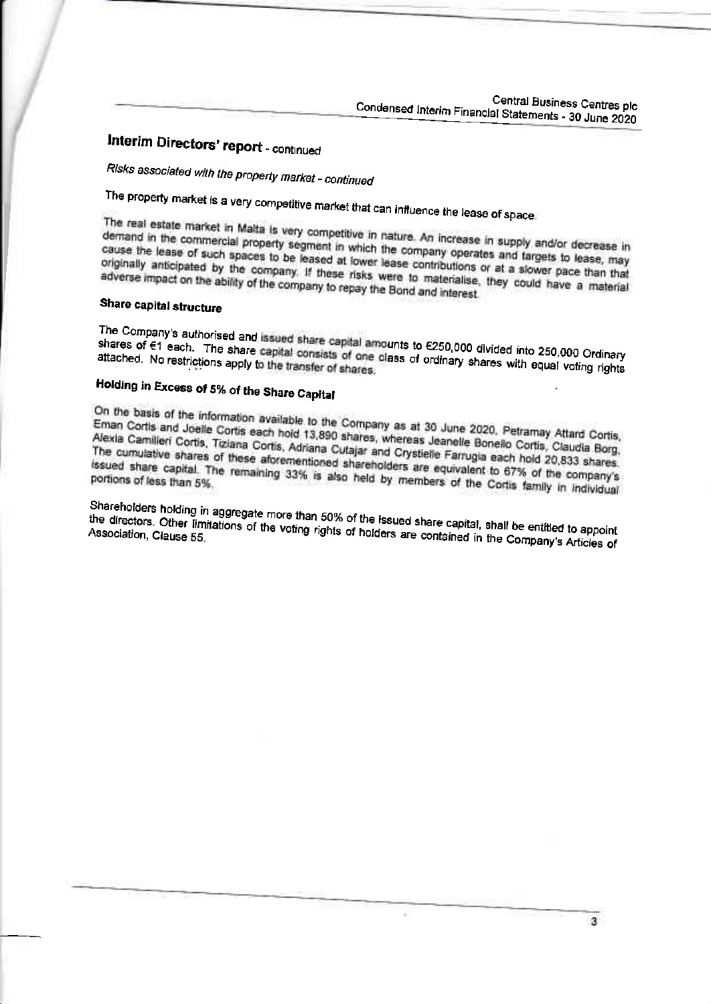Central Business Centres plc Condensed Interim Financial Statements - 30 June 2020

# Interim Directors' report - continued

Risks associated with the property market - continued

The property market is a very competitive market that can influence the lease of space

The real estate market in Malta is very competitive in nature. An increase in supply and/or decrease in demand in the commercial property segment in which the company operates and targets to lease, may cause the lease of such spaces to be leased at lower lease contributions or at a slower pace than that originally anticipated by the company. If these risks were to materialise, they could have a material adverse impact on the ability of the company to repay the Bond and interest.

### Share capital structure

The Company's authorised and issued share capital amounts to €250,000 divided into 250,000 Ordinary shares of €1 each. The share capital consists of one class of ordinary shares with equal voting rights

# Holding in Excess of 5% of the Share Capital

On the basis of the information available to the Company as at 30 June 2020, Petramay Attard Cortis, Eman Cortis and Joelle Cortis each hold 13,890 shares, whereas Jeanelle Bonello Cortis, Claudia Borg, Alexia Camilleri Cortis, Tiziana Cortis, Adriana Cutajar and Crystielle Farrugia each hold 20,833 shares. The cumulative shares of these aforementioned shareholders are equivalent to 67% of the company's issued share capital. The remaining 33% is also held by members of the Cortis family in individual

Shareholders holding in aggregate more than 50% of the issued share capital, shall be entitled to appoint the directors. Other limitations of the voting rights of holders are contained in the Company's Articles of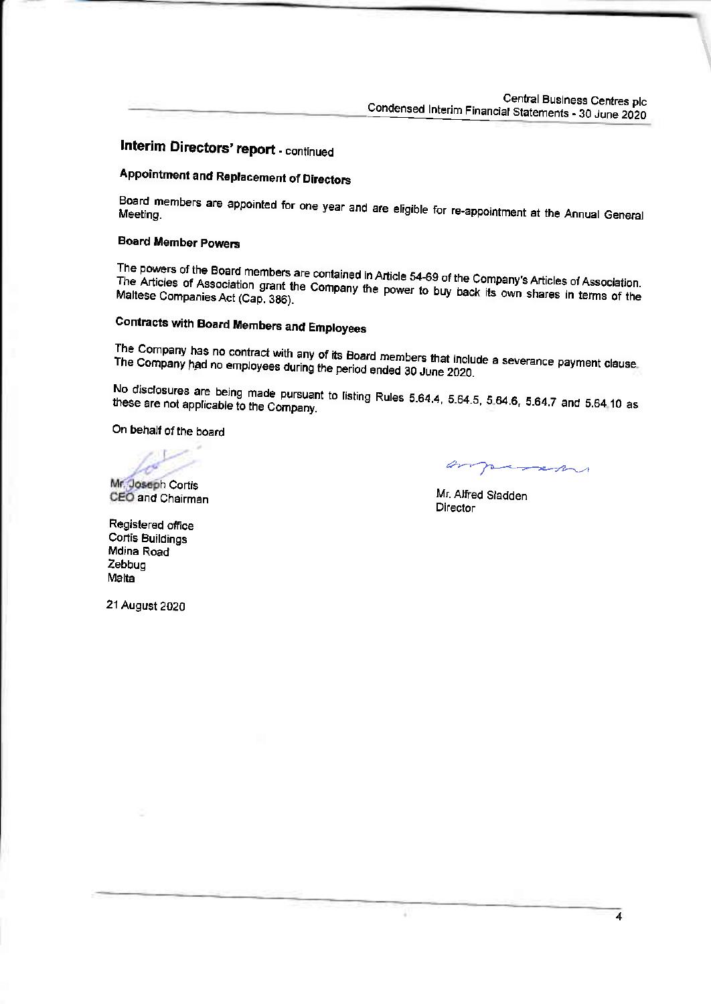Central Business Centres plc Condensed Interim Financial Statements - 30 June 2020

## Interim Directors' report - continued

# **Appointment and Replacement of Directors**

Board members are appointed for one year and are eligible for re-appointment at the Annual General

### **Board Member Powers**

The powers of the Board members are contained in Article 54-69 of the Company's Articles of Association. The Articles of Association grant the Company the power to buy back its own shares in terms of the Maltese Companies Act (Cap. 386).

# **Contracts with Board Members and Employees**

The Company has no contract with any of its Board members that include a severance payment clause. The Company had no employees during the period ended 30 June 2020.

No disclosures are being made pursuant to listing Rules 5.64.4, 5.64.5, 5.64.6, 5.64.7 and 5.64.10 as these are not applicable to the Company.

On behalf of the board

Mr. Joseph Cortis

CEO and Chairman

man

Mr. Alfred Sladden Director

Registered office **Cortis Buildings** Mdina Road Zebbug Malta

21 August 2020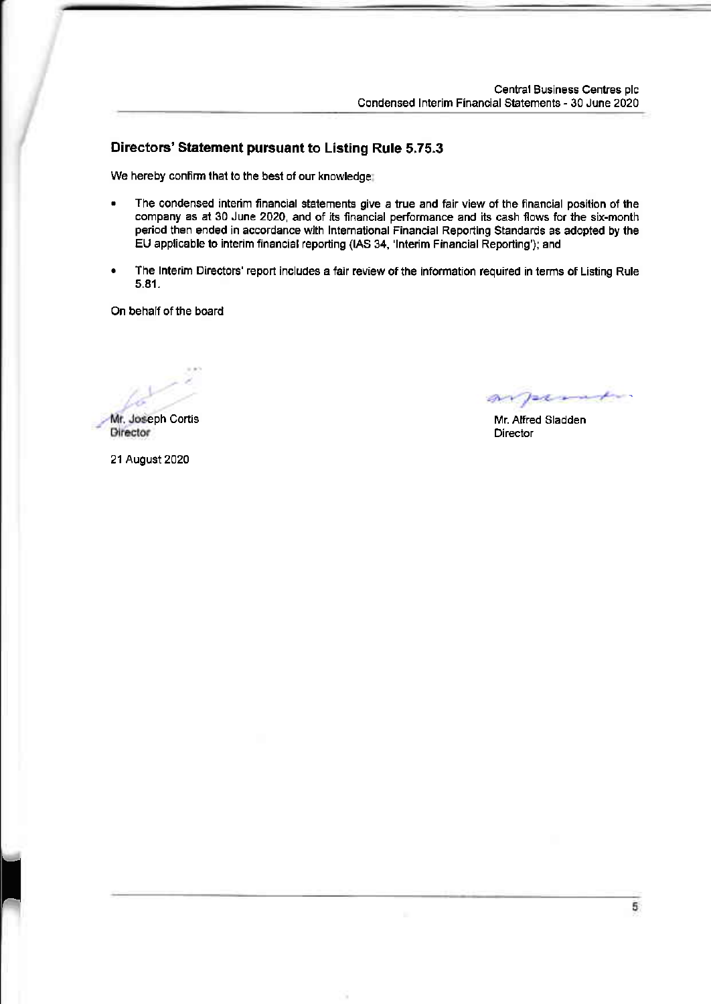### Directors' Statement pursuant to Listing Rule 5.75,3

We hereby confirm that to the best of our knowledge;

- The condensed interim financial statements give a true and fair view of the financial position of the company as at 30 June 2020, and of its financial performance and its cash flows for the six-month period then ended in accordance with International Financial Reporting Standards as adopted by the EU applicable to interim financial reporting (IAS 34, 'Interim Financial Reporting'); and
- The Interim Directors' report includes a fair review of the information required in terms of Listing Rule 5.81.

On behalf of the board

Mr. Joseph Cortis<br>Director

arperato

Mr. Alfred Sladden **Director** 

21 August 2020

T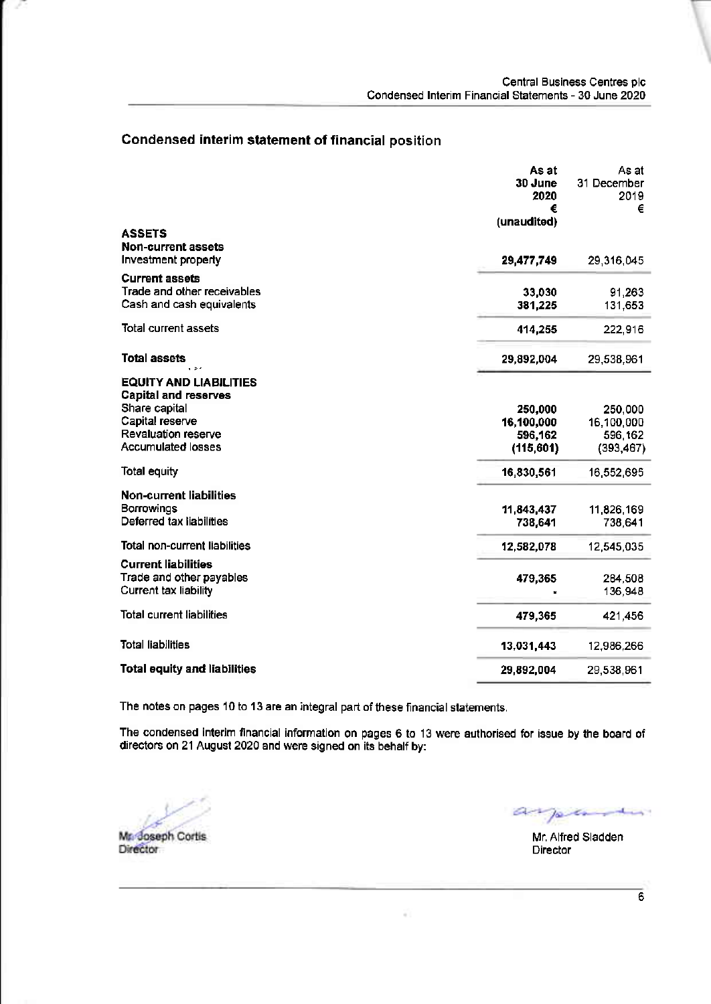### Condensed interim statement of financial position

|                                                                                   | As at<br>30 June<br>2020 | As at<br>31 December<br>2019 |
|-----------------------------------------------------------------------------------|--------------------------|------------------------------|
|                                                                                   | €                        | €                            |
| <b>ASSETS</b><br><b>Non-current assets</b>                                        | (unaudited)              |                              |
| Investment property                                                               | 29,477,749               | 29,316,045                   |
| <b>Current assets</b><br>Trade and other receivables<br>Cash and cash equivalents | 33,030<br>381,225        | 91,263<br>131,653            |
| <b>Total current assets</b>                                                       | 414,255                  | 222,916                      |
| <b>Total assets</b>                                                               | 29,892,004               | 29,538,961                   |
| <b>EQUITY AND LIABILITIES</b><br><b>Capital and reserves</b><br>Share capital     | 250,000                  | 250,000                      |
| Capital reserve                                                                   | 16,100,000               | 16,100,000                   |
| Revaluation reserve                                                               | 596,162                  | 596,162                      |
| <b>Accumulated losses</b>                                                         | (115, 601)               | (393, 467)                   |
| Total equity                                                                      | 16,830,561               | 16,552,695                   |
| <b>Non-current liabilities</b><br>Borrowings<br>Deferred tax liabilities          | 11,843,437<br>738,641    | 11,826,169<br>738,641        |
| Total non-current liabilities                                                     | 12,582,078               | 12,545,035                   |
| <b>Current liabilities</b><br>Trade and other payables<br>Current tax liability   | 479,365                  | 264,508<br>136,948           |
| <b>Total current liabilities</b>                                                  | 479,365                  | 421,456                      |
| <b>Total liabilities</b>                                                          | 13,031,443               | 12,986,266                   |
| <b>Total equity and liabilities</b>                                               | 29,892,004               | 29,538,961                   |

The notes on pages 10 to 13 are an integral part of these financial statements.

The condensed inlerim financial information on pages 6 to 13 were aulhorised for is6ue by the board of directors on 21 August 2020 and were signed on its behalf by:

Mr. Joseph Cortis Director

 $a$ pont

Mr. Alfred Sladden Director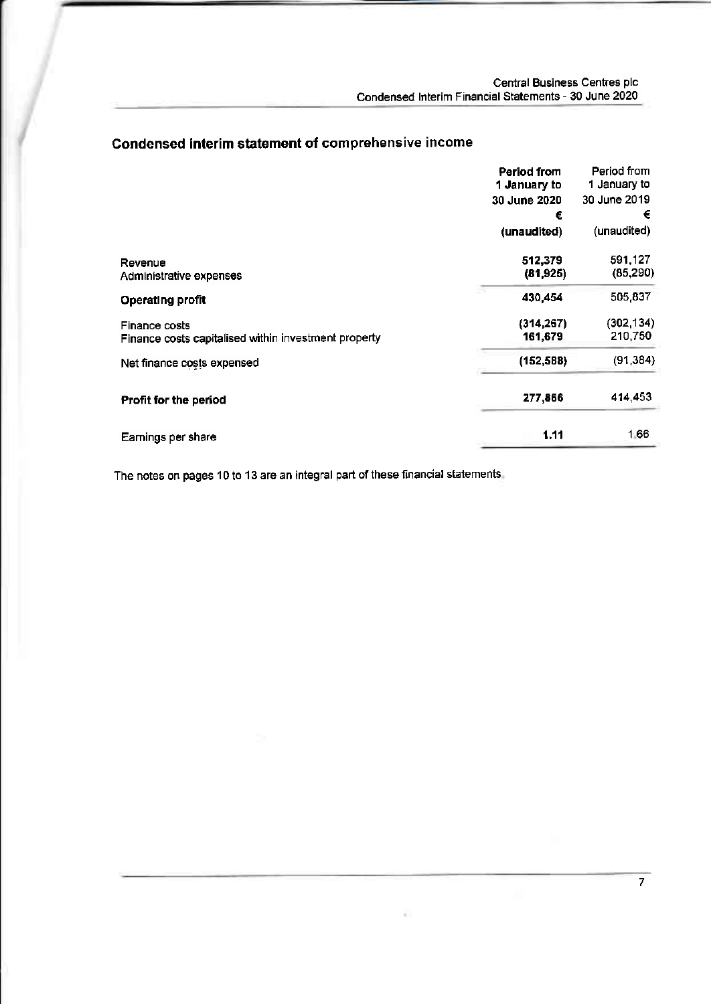### Condensed interim statement of comprehensive income

|                                                      | Period from<br>1 January to | Period from<br>1 January to |
|------------------------------------------------------|-----------------------------|-----------------------------|
|                                                      | 30 June 2020                | 30 June 2019                |
|                                                      | €                           | €                           |
|                                                      | (unaudited)                 | (unaudited)                 |
| Revenue<br>Administrative expenses                   | 512,379<br>(81, 925)        | 591,127<br>(85, 290)        |
| <b>Operating profit</b>                              | 430,454                     | 505,837                     |
| Finance costs                                        | (314, 267)                  | (302, 134)                  |
| Finance costs capitalised within investment property | 161,679                     | 210,750                     |
| Net finance costs expensed                           | (152, 588)                  | (91, 384)                   |
| Profit for the period                                | 277,866                     | 414,453                     |
| Earnings per share                                   | 1.11                        | 166                         |

The notes on pages 10 to 13 are an integral part of these financial statements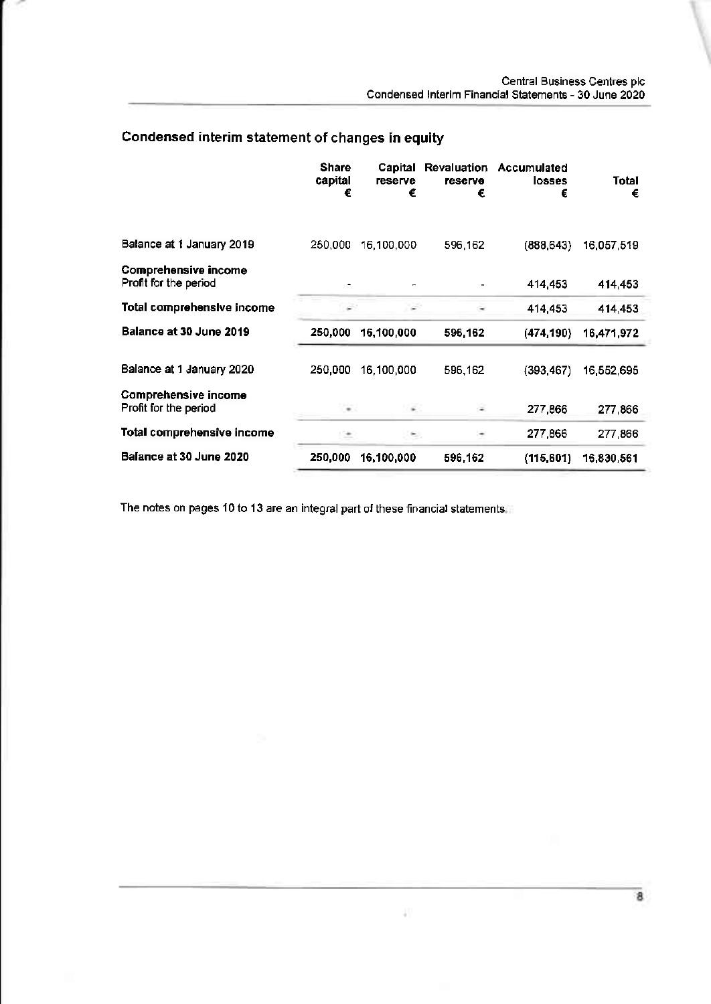## Condensed interim statement of changes in equity

|                                                      | <b>Share</b><br>capital<br>€ | Capital<br>reserve<br>€ | <b>Revaluation</b><br><b>reserve</b><br>€ | <b>Accumulated</b><br><b>losses</b><br>€ | Total<br>€ |
|------------------------------------------------------|------------------------------|-------------------------|-------------------------------------------|------------------------------------------|------------|
| Balance at 1 January 2019                            | 250,000                      | 16,100,000              | 596,162                                   | (888, 643)                               | 16,057,519 |
| <b>Comprehensive income</b><br>Profit for the period |                              |                         |                                           | 414,453                                  | 414.453    |
| Total comprehensive income                           |                              |                         | ۰                                         | 414,453                                  | 414,453    |
| Balance at 30 June 2019                              | 250,000                      | 16,100,000              | 596.162                                   | (474, 190)                               | 16,471,972 |
| Balance at 1 January 2020                            | 250,000                      | 16,100,000              | 596,162                                   | (393, 467)                               | 16,552,695 |
| Comprehensive income<br>Profit for the period        | $\cdots$                     | 1160                    |                                           | 277,866                                  | 277,866    |
| Total comprehensive income                           | ÷                            | ۰.                      |                                           | 277,866                                  | 277,866    |
| Balance at 30 June 2020                              | 250,000                      | 16,100,000              | 596,162                                   | (115,601)                                | 16,830,561 |

The notes on pages 10 to 13 are an integral part of these financial statements.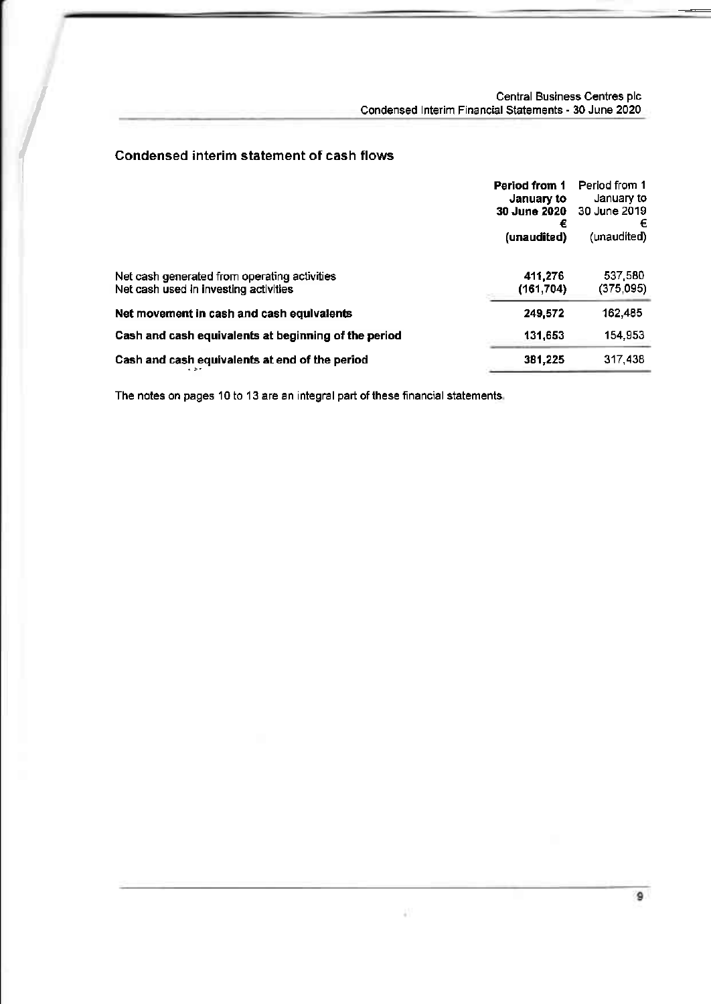### ( Condensed interim statement of cash flows

|                                                                                       | <b>Period from 1</b><br>January to<br><b>30 June 2020</b><br>€<br>(unaudited) | Period from 1<br>January to<br>30 June 2019<br>€<br>(unaudited) |
|---------------------------------------------------------------------------------------|-------------------------------------------------------------------------------|-----------------------------------------------------------------|
| Net cash generated from operating activities<br>Net cash used in investing activities | 411,276<br>(161, 704)                                                         | 537,580<br>(375,095)                                            |
| Net movement in cash and cash equivalents                                             | 249.572                                                                       | 162,485                                                         |
| Cash and cash equivalents at beginning of the period                                  | 131,653                                                                       | 154.953                                                         |
| Cash and cash equivalents at end of the period<br>$-5$                                | 381,225                                                                       | 317,438                                                         |

The notes on pages 10 to 13 are an integral part of these financial statements.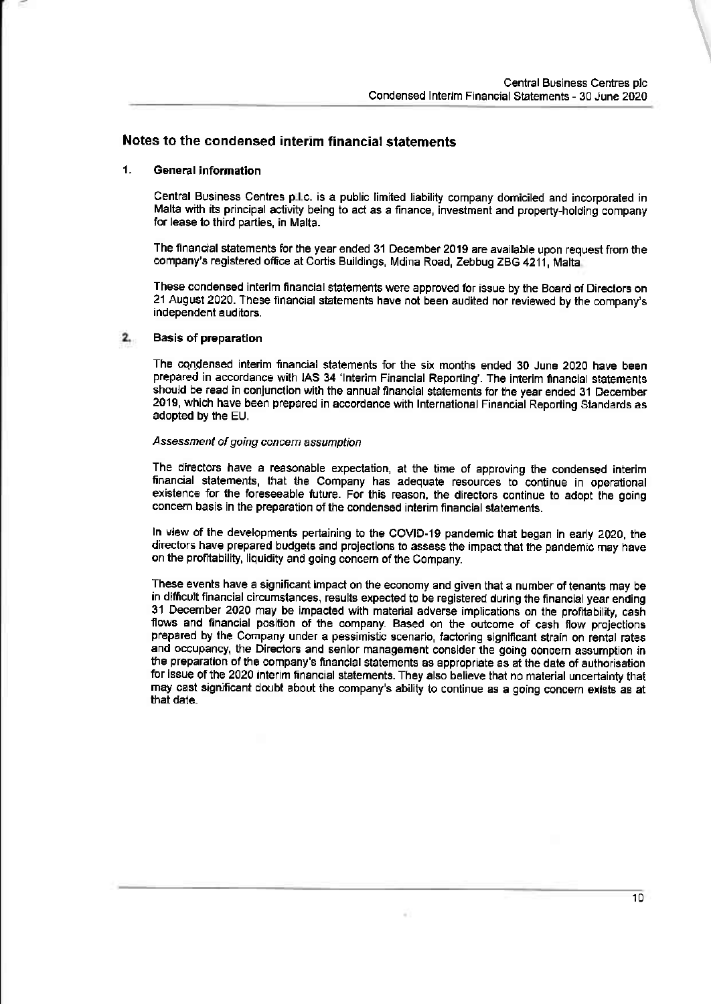### Notes to the condensed interim financial statements

### 1. General information

Central Business Centres p.l.c. is a public limited liability company domiciled and incorporated in Malta with its principal activity being to act as a finance, investment and property-holding company for lease to third parties, in Malta.

The financial statements for the year ended 31 December 2019 are available upon request from the company's registered office at Cortis Buildings, Mdina Road, Zebbug ZBG 4211, Malta

These condensed interim financial statements were approved for issue by the Board of Directors on 21 August 2020. These financial statements have not been audited nor reviewed by the company's independent auditors.

#### $2.$ Basis of preparatlon

The cqrldensed interim fnancial statements for the six months ended 30 June 2O2O have been prepared in accordance with IAS 34 'Interim Financial Reporting'. The interim financial statements should be read in conjunction with the annual financial statements for the year ended 31 December 2019, which have been prepared in accordance with International Financial Reporting Standards as adopted by the EU.

### Assessment of going concern assumption

The directors have a reasonable expectation, at the time of approving the condensed interjm financial statements, that the Company has adequate resources to continue in operational existence for the foreseeable future. For this reason, the directors continue to adopt the going concern basis in the preparation of the condensed inlerim financial stalements.

ln view of the developments pertaining to the COVID-lg pandemic lhat began in early 2020, the directors have prepared budgets and projections to assess the impact that the pandemic may have on the profitability, liquidity and going concern of the Company.

These events have a significant impact on the economy and given that a number of tenants may be in difficult financial circumstances, results expected to be registered during the financial year ending 31 December 2020 may be impacled with materiat adverse implications on the profitability, cash flows and financial position of the company. Based on the outcome of cash flow projections prepared by the Company under a pessimistic scenario, factoring significant stain on rental rates and occupancy, the Directors and senior management consider the going concern assumption in the preparation of the company's financial statements as appropriate as at the date of authorisation for issue of the 2020 interim financial statements. They also believe that no material uncertainty that may cast significant doubt about the company's ability to continue as a going concern exists as at that date.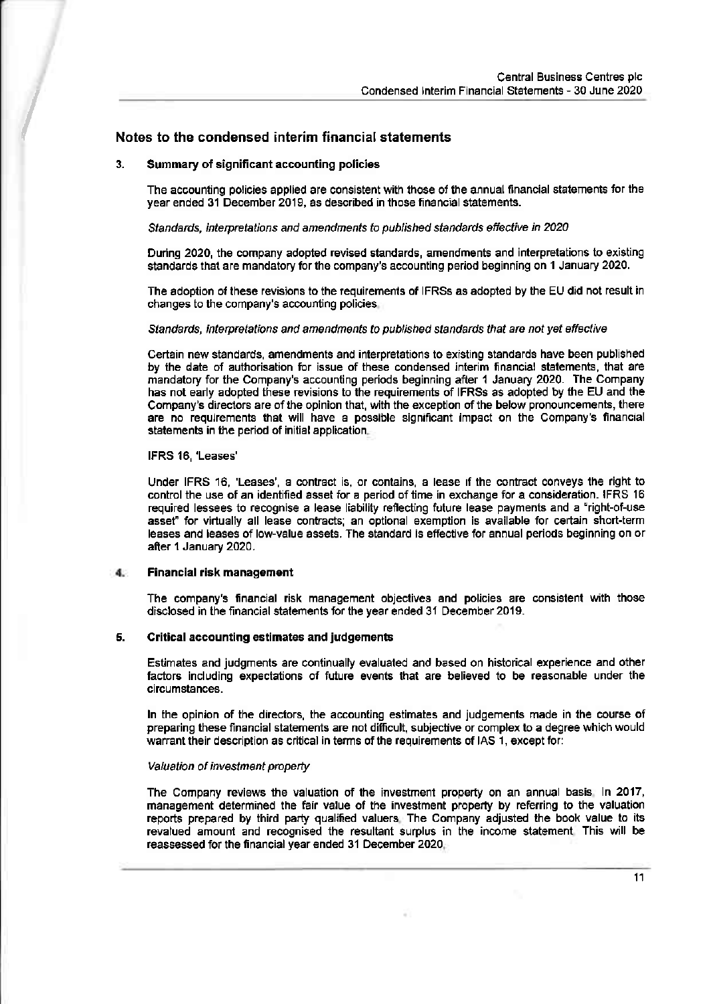# Condensed Interim Financial Statements - 30 June 2020<br>Notes to the condensed interim financial statements

### 3. Summary of significant accounting policies

The accounting policies applied are consistent with those of the annual financial statements for the year ended 31 December 2019, as described in those financial statements.

Standards, interpretations and amendments to published standards effective in 2020

During 2020, the company adopted revised standards, amendments and interpretations to existing standards that are mandatory for the company's accounting period beginning on 1 January 2020.

The adoption of these revisions to the requirements of IFRSs as adopted by the EU did not result in changes to the company's accounting policies

### Standards, interpretations and amendments to published standards that are not yet effective

Certain new standards, amendments and interpretations to existing standards have been published by ihe date of authorisation for issue of these condensed interim financial statements, that are mandatory for the Company's accounting periods beginning after '1 January 2020. The Company has not early adopted these revisions to the requirements of IFRSs as adopted by the EU and the Company's directors are of the opinion that, with the exception of the below pronouncements, there are no requirements that will have a possible signficant impact on the Company's financlal statements in the period of initial application.

### IFRS 18,'Leases'

Under IFRS 16, 'Leases', a contract is, or contains, a lease if the contract conveys the right to control the use of an identified asset for a period of time in exchange for a consideration. IFRS 16 required lessees to recognise a lease liability reflecting future lease payments and a "right-of-use asset" for virtually all lease contracts; an optional exemption is available for certain short-term leases and leases of low'value assets. The standard is effective for annual periods beginning on or after 1 January 2020.

#### 4. Financial risk management

The company's financial risk management objectives and policies are consistent with those disclosed in the financial statements for the year ended 31 December 2019.

### 5. Critical accounting estimates and judgements

Estimates and judgments are continually evaluated and based on historical experience and other faGtors including expectations of future events that are believed to be reasonable under the circumstances.

ln the opinion of the directors, the accounting estimates and judgements made in the course of preparing these financial statements are not difficult, subjective or complex to a degree which would warrant their description as critical in terms of the requirements of IAS 1, except for:

#### Valuation of investment property

The Company reviews the valuation of the investment property on an annual basis ln 2017, management determined the fair value of the investment property by referring to the valuation reports prepared by third party qualified valuers The Company adjusted the book value to its revalued amount and recognised the resultant surplus in the income statement This will be reassessed for the fnancial year ended 31 December 2020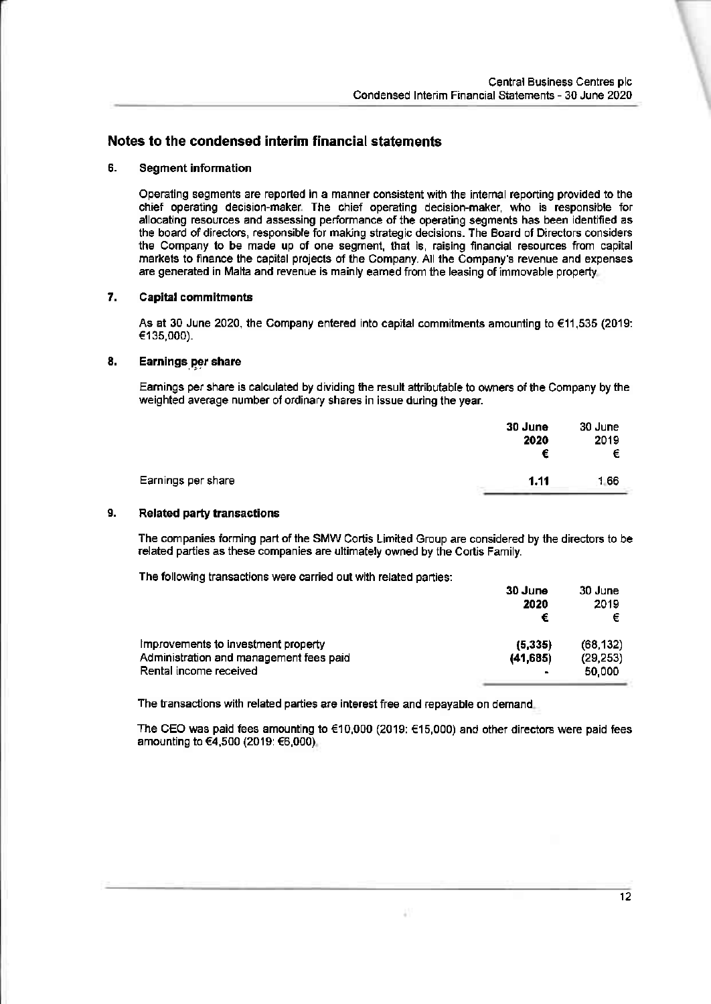### Notes to the condensed interim financial statements

### 5. Segment information

Operating segments are reported in a manner consistent with the intemal reporting provided to the chief operating decision-maker The chief operating decision-maker, who is responsible for allocating resources and assessing performance ofthe operating segments has been identified as the board of directors, responsible for making strategic decisions. The Board of Directors considers the Company to be made up of one segment, that is, raising financial resources from capital markets to finance the capital projects of the Company. All the Company's revenue and expenses are generated in Malta and revenue is mainly eamed from the leasing ofimmovable properly

### 7. Capital commitments

As at 30 June 2020, the Company entered into capital commitments amounting to €11,535 (2019: €135,000).

### 8. Earnings per share

Earnings per share is calculated by dividing the result atlributable to owners of the Company by the weighted average number of ordinary shares in issue during the year.

| 30 June<br>2020<br>€ | 30 June<br>2019<br>€ |
|----------------------|----------------------|
| 1.11                 | 1.66                 |
|                      |                      |

#### Related party transactions 9.

The companies forming part of the SMW Cortis Limited Group are considered by the directors to be related parties as these companies are ultimately owned by the Cortis Family.

The following transactions were carried out with related parties:

|                                                                   | 30 June<br>2020<br>€ | 30 June<br>2019<br>€ |
|-------------------------------------------------------------------|----------------------|----------------------|
| Improvements to investment property                               | (5, 335)             | (68, 132)            |
| Administration and management fees paid<br>Rental income received | (41, 685)            | (29, 253)<br>50.000  |

The transactions with related parties are interest free and repayable on demand.

The CEO was paid fees amounting to  $€10,000$  (2019:  $€15,000$ ) and other directors were paid fees amounting to €4,500 (2019: €6,000)